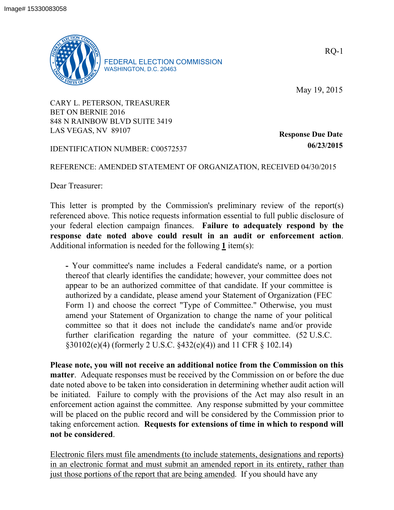

FEDERAL ELECTION COMMISSION WASHINGTON, D.C. 20463

May 19, 2015

CARY L. PETERSON, TREASURER BET ON BERNIE 2016 848 N RAINBOW BLVD SUITE 3419 LAS VEGAS, NV 89107

IDENTIFICATION NUMBER: C00572537

**Response Due Date 06/23/2015**

## REFERENCE: AMENDED STATEMENT OF ORGANIZATION, RECEIVED 04/30/2015

Dear Treasurer:

This letter is prompted by the Commission's preliminary review of the report(s) referenced above. This notice requests information essential to full public disclosure of your federal election campaign finances. **Failure to adequately respond by the response date noted above could result in an audit or enforcement action**. Additional information is needed for the following **1** item(s):

**-** Your committee's name includes a Federal candidate's name, or a portion thereof that clearly identifies the candidate; however, your committee does not appear to be an authorized committee of that candidate. If your committee is authorized by a candidate, please amend your Statement of Organization (FEC Form 1) and choose the correct "Type of Committee." Otherwise, you must amend your Statement of Organization to change the name of your political committee so that it does not include the candidate's name and/or provide further clarification regarding the nature of your committee. (52 U.S.C. §30102(e)(4) (formerly 2 U.S.C. §432(e)(4)) and 11 CFR § 102.14)

**Please note, you will not receive an additional notice from the Commission on this matter**. Adequate responses must be received by the Commission on or before the due date noted above to be taken into consideration in determining whether audit action will be initiated. Failure to comply with the provisions of the Act may also result in an enforcement action against the committee. Any response submitted by your committee will be placed on the public record and will be considered by the Commission prior to taking enforcement action. **Requests for extensions of time in which to respond will not be considered**.

Electronic filers must file amendments (to include statements, designations and reports) in an electronic format and must submit an amended report in its entirety, rather than just those portions of the report that are being amended. If you should have any

RQ-1